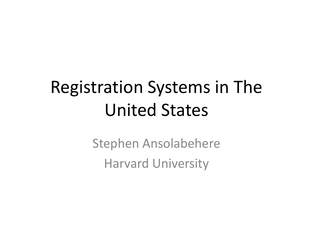#### Registration Systems in The United States

Stephen Ansolabehere Harvard University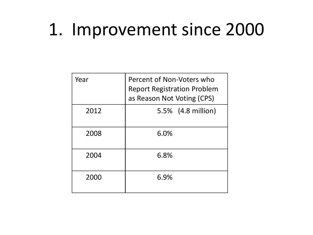#### 1. Improvement since 2000

| Year | Percent of Non-Voters who<br><b>Report Registration Problem</b><br>as Reason Not Voting (CPS) |
|------|-----------------------------------------------------------------------------------------------|
| 2012 | 5.5% (4.8 million)                                                                            |
| 2008 | 6.0%                                                                                          |
| 2004 | 6.8%                                                                                          |
| 2000 | 6.9%                                                                                          |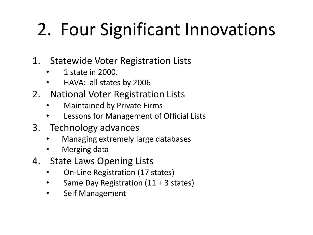# 2. Four Significant Innovations

- 1. Statewide Voter Registration Lists
	- 1 state in 2000.
	- HAVA: all states by 2006
- 2. National Voter Registration Lists
	- Maintained by Private Firms
	- Lessons for Management of Official Lists
- 3. Technology advances
	- Managing extremely large databases
	- Merging data
- 4. State Laws Opening Lists
	- On-Line Registration (17 states)
	- Same Day Registration (11 + 3 states)
	- Self Management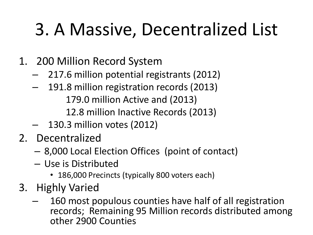## 3. A Massive, Decentralized List

- 1. 200 Million Record System
	- 217.6 million potential registrants (2012)
	- 191.8 million registration records (2013) 179.0 million Active and (2013) 12.8 million Inactive Records (2013)
	- 130.3 million votes (2012)
- 2. Decentralized
	- 8,000 Local Election Offices (point of contact)
	- Use is Distributed
		- 186,000 Precincts (typically 800 voters each)
- 3. Highly Varied
	- 160 most populous counties have half of all registration records; Remaining 95 Million records distributed among other 2900 Counties